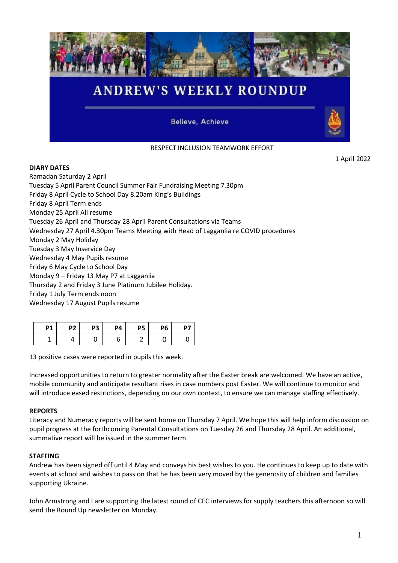

# RESPECT INCLUSION TEAMWORK EFFORT

1 April 2022

## **DIARY DATES**

Ramadan Saturday 2 April Tuesday 5 April Parent Council Summer Fair Fundraising Meeting 7.30pm Friday 8 April Cycle to School Day 8.20am King's Buildings Friday 8 April Term ends Monday 25 April All resume Tuesday 26 April and Thursday 28 April Parent Consultations via Teams Wednesday 27 April 4.30pm Teams Meeting with Head of Lagganlia re COVID procedures Monday 2 May Holiday Tuesday 3 May Inservice Day Wednesday 4 May Pupils resume Friday 6 May Cycle to School Day Monday 9 – Friday 13 May P7 at Lagganlia Thursday 2 and Friday 3 June Platinum Jubilee Holiday. Friday 1 July Term ends noon Wednesday 17 August Pupils resume

| P1 | P <sub>2</sub> | P <sub>3</sub> | Р4 | <b>P5</b> | P6 |  |
|----|----------------|----------------|----|-----------|----|--|
|    |                |                |    |           |    |  |

13 positive cases were reported in pupils this week.

Increased opportunities to return to greater normality after the Easter break are welcomed. We have an active, mobile community and anticipate resultant rises in case numbers post Easter. We will continue to monitor and will introduce eased restrictions, depending on our own context, to ensure we can manage staffing effectively.

### **REPORTS**

Literacy and Numeracy reports will be sent home on Thursday 7 April. We hope this will help inform discussion on pupil progress at the forthcoming Parental Consultations on Tuesday 26 and Thursday 28 April. An additional, summative report will be issued in the summer term.

### **STAFFING**

Andrew has been signed off until 4 May and conveys his best wishes to you. He continues to keep up to date with events at school and wishes to pass on that he has been very moved by the generosity of children and families supporting Ukraine.

John Armstrong and I are supporting the latest round of CEC interviews for supply teachers this afternoon so will send the Round Up newsletter on Monday.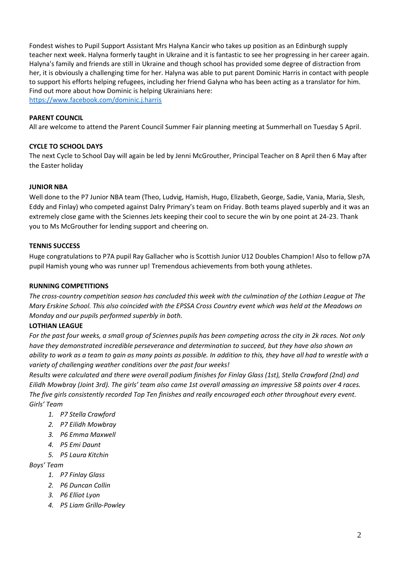Fondest wishes to Pupil Support Assistant Mrs Halyna Kancir who takes up position as an Edinburgh supply teacher next week. Halyna formerly taught in Ukraine and it is fantastic to see her progressing in her career again. Halyna's family and friends are still in Ukraine and though school has provided some degree of distraction from her, it is obviously a challenging time for her. Halyna was able to put parent Dominic Harris in contact with people to support his efforts helping refugees, including her friend Galyna who has been acting as a translator for him. Find out more about how Dominic is helping Ukrainians here: <https://www.facebook.com/dominic.j.harris>

#### **PARENT COUNCIL**

All are welcome to attend the Parent Council Summer Fair planning meeting at Summerhall on Tuesday 5 April.

#### **CYCLE TO SCHOOL DAYS**

The next Cycle to School Day will again be led by Jenni McGrouther, Principal Teacher on 8 April then 6 May after the Easter holiday

#### **JUNIOR NBA**

Well done to the P7 Junior NBA team (Theo, Ludvig, Hamish, Hugo, Elizabeth, George, Sadie, Vania, Maria, Slesh, Eddy and Finlay) who competed against Dalry Primary's team on Friday. Both teams played superbly and it was an extremely close game with the Sciennes Jets keeping their cool to secure the win by one point at 24-23. Thank you to Ms McGrouther for lending support and cheering on.

#### **TENNIS SUCCESS**

Huge congratulations to P7A pupil Ray Gallacher who is Scottish Junior U12 Doubles Champion! Also to fellow p7A pupil Hamish young who was runner up! Tremendous achievements from both young athletes.

#### **RUNNING COMPETITIONS**

*The cross-country competition season has concluded this week with the culmination of the Lothian League at The Mary Erskine School. This also coincided with the EPSSA Cross Country event which was held at the Meadows on Monday and our pupils performed superbly in both.*

#### **LOTHIAN LEAGUE**

For the past four weeks, a small group of Sciennes pupils has been competing across the city in 2k races. Not only *have they demonstrated incredible perseverance and determination to succeed, but they have also shown an ability to work as a team to gain as many points as possible. In addition to this, they have all had to wrestle with a variety of challenging weather conditions over the past four weeks!*

*Results were calculated and there were overall podium finishes for Finlay Glass (1st), Stella Crawford (2nd) and Eilidh Mowbray (Joint 3rd). The girls' team also came 1st overall amassing an impressive 58 points over 4 races. The five girls consistently recorded Top Ten finishes and really encouraged each other throughout every event. Girls' Team* 

- *1. P7 Stella Crawford*
- *2. P7 Eilidh Mowbray*
- *3. P6 Emma Maxwell*
- *4. P5 Emi Daunt*
- *5. P5 Laura Kitchin*

*Boys' Team*

- *1. P7 Finlay Glass*
- *2. P6 Duncan Collin*
- *3. P6 Elliot Lyon*
- *4. P5 Liam Grillo-Powley*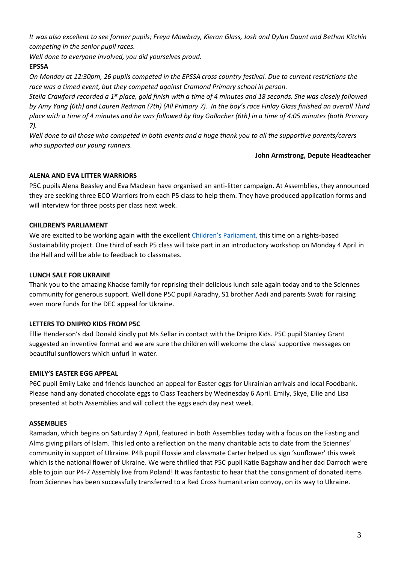*It was also excellent to see former pupils; Freya Mowbray, Kieran Glass, Josh and Dylan Daunt and Bethan Kitchin competing in the senior pupil races.* 

*Well done to everyone involved, you did yourselves proud.* 

## **EPSSA**

*On Monday at 12:30pm, 26 pupils competed in the EPSSA cross country festival. Due to current restrictions the*  race was a timed event, but they competed against Cramond Primary school in person.

*Stella Crawford recorded a 1st place, gold finish with a time of 4 minutes and 18 seconds. She was closely followed by Amy Yang (6th) and Lauren Redman (7th) (All Primary 7). In the boy's race Finlay Glass finished an overall Third place with a time of 4 minutes and he was followed by Ray Gallacher (6th) in a time of 4:05 minutes (both Primary 7).* 

*Well done to all those who competed in both events and a huge thank you to all the supportive parents/carers who supported our young runners.*

#### **John Armstrong, Depute Headteacher**

## **ALENA AND EVA LITTER WARRIORS**

P5C pupils Alena Beasley and Eva Maclean have organised an anti-litter campaign. At Assemblies, they announced they are seeking three ECO Warriors from each P5 class to help them. They have produced application forms and will interview for three posts per class next week.

## **CHILDREN'S PARLIAMENT**

We are excited to be working again with the excellent [Children's Parliament,](https://www.childrensparliament.org.uk/) this time on a rights-based Sustainability project. One third of each P5 class will take part in an introductory workshop on Monday 4 April in the Hall and will be able to feedback to classmates.

## **LUNCH SALE FOR UKRAINE**

Thank you to the amazing Khadse family for reprising their delicious lunch sale again today and to the Sciennes community for generous support. Well done P5C pupil Aaradhy, S1 brother Aadi and parents Swati for raising even more funds for the DEC appeal for Ukraine.

## **LETTERS TO DNIPRO KIDS FROM P5C**

Ellie Henderson's dad Donald kindly put Ms Sellar in contact with the Dnipro Kids. P5C pupil Stanley Grant suggested an inventive format and we are sure the children will welcome the class' supportive messages on beautiful sunflowers which unfurl in water.

### **EMILY'S EASTER EGG APPEAL**

P6C pupil Emily Lake and friends launched an appeal for Easter eggs for Ukrainian arrivals and local Foodbank. Please hand any donated chocolate eggs to Class Teachers by Wednesday 6 April. Emily, Skye, Ellie and Lisa presented at both Assemblies and will collect the eggs each day next week.

## **ASSEMBLIES**

Ramadan, which begins on Saturday 2 April, featured in both Assemblies today with a focus on the Fasting and Alms giving pillars of Islam. This led onto a reflection on the many charitable acts to date from the Sciennes' community in support of Ukraine. P4B pupil Flossie and classmate Carter helped us sign 'sunflower' this week which is the national flower of Ukraine. We were thrilled that P5C pupil Katie Bagshaw and her dad Darroch were able to join our P4-7 Assembly live from Poland! It was fantastic to hear that the consignment of donated items from Sciennes has been successfully transferred to a Red Cross humanitarian convoy, on its way to Ukraine.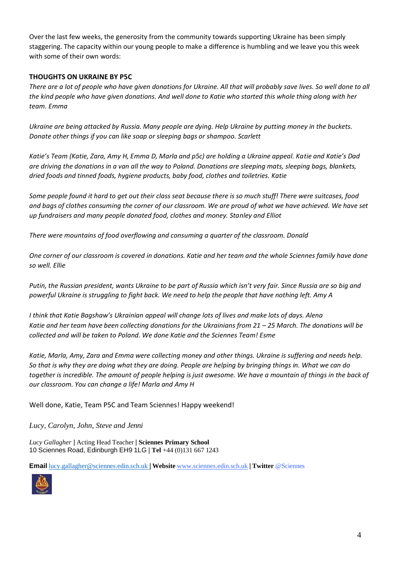Over the last few weeks, the generosity from the community towards supporting Ukraine has been simply staggering. The capacity within our young people to make a difference is humbling and we leave you this week with some of their own words:

### **THOUGHTS ON UKRAINE BY P5C**

*There are a lot of people who have given donations for Ukraine. All that will probably save lives. So well done to all the kind people who have given donations. And well done to Katie who started this whole thing along with her team. Emma* 

*Ukraine are being attacked by Russia. Many people are dying. Help Ukraine by putting money in the buckets. Donate other things if you can like soap or sleeping bags or shampoo. Scarlett*

*Katie's Team (Katie, Zara, Amy H, Emma D, Marla and p5c) are holding a Ukraine appeal. Katie and Katie's Dad are driving the donations in a van all the way to Poland. Donations are sleeping mats, sleeping bags, blankets, dried foods and tinned foods, hygiene products, baby food, clothes and toiletries. Katie*

*Some people found it hard to get out their class seat because there is so much stuff! There were suitcases, food and bags of clothes consuming the corner of our classroom. We are proud of what we have achieved. We have set up fundraisers and many people donated food, clothes and money. Stanley and Elliot*

*There were mountains of food overflowing and consuming a quarter of the classroom. Donald*

*One corner of our classroom is covered in donations. Katie and her team and the whole Sciennes family have done so well. Ellie*

*Putin, the Russian president, wants Ukraine to be part of Russia which isn't very fair. Since Russia are so big and powerful Ukraine is struggling to fight back. We need to help the people that have nothing left. Amy A*

*I think that Katie Bagshaw's Ukrainian appeal will change lots of lives and make lots of days. Alena Katie and her team have been collecting donations for the Ukrainians from 21 – 25 March. The donations will be collected and will be taken to Poland. We done Katie and the Sciennes Team! Esme*

*Katie, Marla, Amy, Zara and Emma were collecting money and other things. Ukraine is suffering and needs help. So that is why they are doing what they are doing. People are helping by bringing things in. What we can do together is incredible. The amount of people helping is just awesome. We have a mountain of things in the back of our classroom. You can change a life! Marla and Amy H*

Well done, Katie, Team P5C and Team Sciennes! Happy weekend!

*Lucy, Carolyn, John, Steve and Jenni*

*Lucy Gallagher* | Acting Head Teacher | **Sciennes Primary School** 10 Sciennes Road, Edinburgh EH9 1LG | **Tel** +44 (0)131 667 1243

**Email** [lucy.gallagher@sciennes.edin.sch.uk](mailto:lucy.gallagher@sciennes.edin.sch.uk) [|](mailto:lucy.gallagher@sciennes.edin.sch.uk) **Website** [www.sciennes.edin.sch.uk](http://www.sciennes.edin.sch.uk/) | **Twitter** @Sciennes